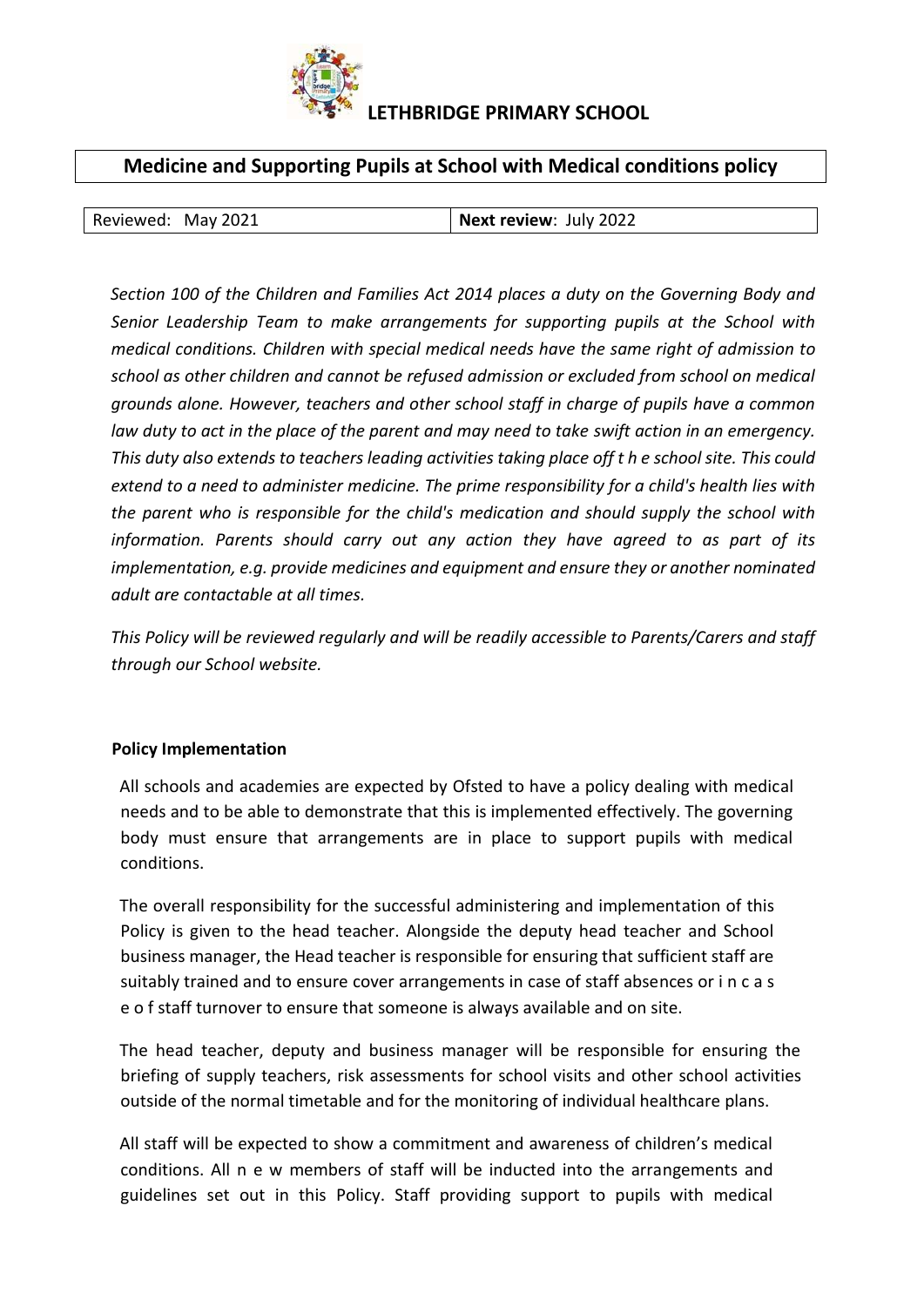

# **LETHBRIDGE PRIMARY SCHOOL**

# **Medicine and Supporting Pupils at School with Medical conditions policy**

| Next review: July 2022<br>Reviewed: May 2021 |  |  |  |  |
|----------------------------------------------|--|--|--|--|
|----------------------------------------------|--|--|--|--|

*Section 100 of the Children and Families Act 2014 places a duty on the Governing Body and Senior Leadership Team to make arrangements for supporting pupils at the School with medical conditions. Children with special medical needs have the same right of admission to school as other children and cannot be refused admission or excluded from school on medical grounds alone. However, teachers and other school staff in charge of pupils have a common law duty to act in the place of the parent and may need to take swift action in an emergency. This duty also extends to teachers leading activities taking place off t h e school site. This could extend to a need to administer medicine. The prime responsibility for a child's health lies with the parent who is responsible for the child's medication and should supply the school with information. Parents should carry out any action they have agreed to as part of its implementation, e.g. provide medicines and equipment and ensure they or another nominated adult are contactable at all times.* 

*This Policy will be reviewed regularly and will be readily accessible to Parents/Carers and staff through our School website.* 

#### **Policy Implementation**

All schools and academies are expected by Ofsted to have a policy dealing with medical needs and to be able to demonstrate that this is implemented effectively. The governing body must ensure that arrangements are in place to support pupils with medical conditions.

The overall responsibility for the successful administering and implementation of this Policy is given to the head teacher. Alongside the deputy head teacher and School business manager, the Head teacher is responsible for ensuring that sufficient staff are suitably trained and to ensure cover arrangements in case of staff absences or i n c a s e o f staff turnover to ensure that someone is always available and on site.

The head teacher, deputy and business manager will be responsible for ensuring the briefing of supply teachers, risk assessments for school visits and other school activities outside of the normal timetable and for the monitoring of individual healthcare plans.

All staff will be expected to show a commitment and awareness of children's medical conditions. All n e w members of staff will be inducted into the arrangements and guidelines set out in this Policy. Staff providing support to pupils with medical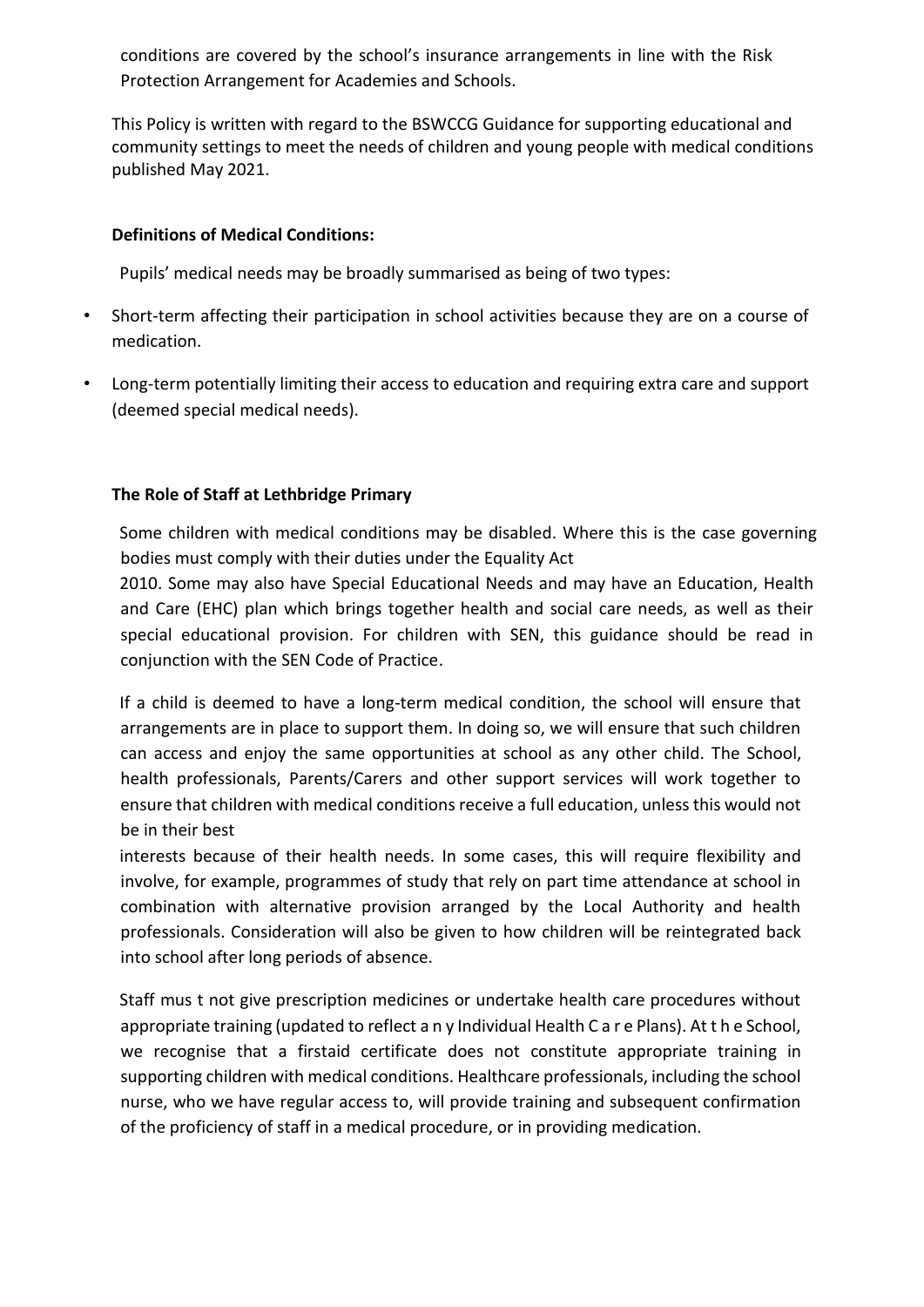conditions are covered by the school's insurance arrangements in line with the Risk Protection Arrangement for Academies and Schools.

This Policy is written with regard to the BSWCCG Guidance for supporting educational and community settings to meet the needs of children and young people with medical conditions published May 2021.

### **Definitions of Medical Conditions:**

Pupils' medical needs may be broadly summarised as being of two types:

- Short-term affecting their participation in school activities because they are on a course of medication.
- Long-term potentially limiting their access to education and requiring extra care and support (deemed special medical needs).

### **The Role of Staff at Lethbridge Primary**

Some children with medical conditions may be disabled. Where this is the case governing bodies must comply with their duties under the Equality Act

2010. Some may also have Special Educational Needs and may have an Education, Health and Care (EHC) plan which brings together health and social care needs, as well as their special educational provision. For children with SEN, this guidance should be read in conjunction with the SEN Code of Practice.

If a child is deemed to have a long-term medical condition, the school will ensure that arrangements are in place to support them. In doing so, we will ensure that such children can access and enjoy the same opportunities at school as any other child. The School, health professionals, Parents/Carers and other support services will work together to ensure that children with medical conditions receive a full education, unless this would not be in their best

interests because of their health needs. In some cases, this will require flexibility and involve, for example, programmes of study that rely on part time attendance at school in combination with alternative provision arranged by the Local Authority and health professionals. Consideration will also be given to how children will be reintegrated back into school after long periods of absence.

Staff mus t not give prescription medicines or undertake health care procedures without appropriate training (updated to reflect a n y Individual Health C a r e Plans). At t h e School, we recognise that a firstaid certificate does not constitute appropriate training in supporting children with medical conditions. Healthcare professionals, including the school nurse, who we have regular access to, will provide training and subsequent confirmation of the proficiency of staff in a medical procedure, or in providing medication.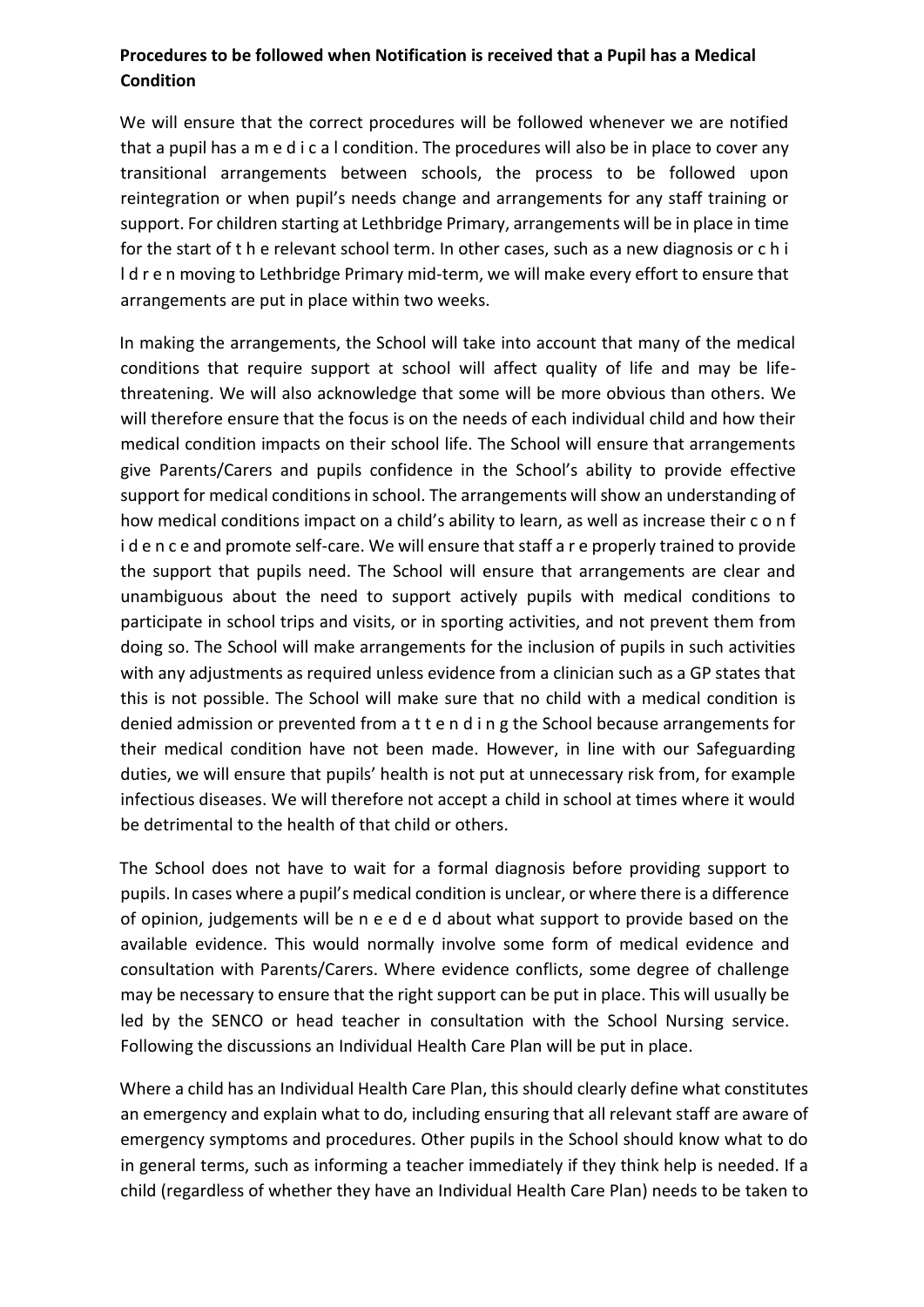# **Procedures to be followed when Notification is received that a Pupil has a Medical Condition**

We will ensure that the correct procedures will be followed whenever we are notified that a pupil has a m e d i c a l condition. The procedures will also be in place to cover any transitional arrangements between schools, the process to be followed upon reintegration or when pupil's needs change and arrangements for any staff training or support. For children starting at Lethbridge Primary, arrangements will be in place in time for the start of t h e relevant school term. In other cases, such as a new diagnosis or c h i l d r e n moving to Lethbridge Primary mid-term, we will make every effort to ensure that arrangements are put in place within two weeks.

In making the arrangements, the School will take into account that many of the medical conditions that require support at school will affect quality of life and may be lifethreatening. We will also acknowledge that some will be more obvious than others. We will therefore ensure that the focus is on the needs of each individual child and how their medical condition impacts on their school life. The School will ensure that arrangements give Parents/Carers and pupils confidence in the School's ability to provide effective support for medical conditions in school. The arrangements will show an understanding of how medical conditions impact on a child's ability to learn, as well as increase their c o n f i d e n c e and promote self-care. We will ensure that staff a r e properly trained to provide the support that pupils need. The School will ensure that arrangements are clear and unambiguous about the need to support actively pupils with medical conditions to participate in school trips and visits, or in sporting activities, and not prevent them from doing so. The School will make arrangements for the inclusion of pupils in such activities with any adjustments as required unless evidence from a clinician such as a GP states that this is not possible. The School will make sure that no child with a medical condition is denied admission or prevented from a t t e n d i n g the School because arrangements for their medical condition have not been made. However, in line with our Safeguarding duties, we will ensure that pupils' health is not put at unnecessary risk from, for example infectious diseases. We will therefore not accept a child in school at times where it would be detrimental to the health of that child or others.

The School does not have to wait for a formal diagnosis before providing support to pupils. In cases where a pupil's medical condition is unclear, or where there is a difference of opinion, judgements will be n e e d e d about what support to provide based on the available evidence. This would normally involve some form of medical evidence and consultation with Parents/Carers. Where evidence conflicts, some degree of challenge may be necessary to ensure that the right support can be put in place. This will usually be led by the SENCO or head teacher in consultation with the School Nursing service. Following the discussions an Individual Health Care Plan will be put in place.

Where a child has an Individual Health Care Plan, this should clearly define what constitutes an emergency and explain what to do, including ensuring that all relevant staff are aware of emergency symptoms and procedures. Other pupils in the School should know what to do in general terms, such as informing a teacher immediately if they think help is needed. If a child (regardless of whether they have an Individual Health Care Plan) needs to be taken to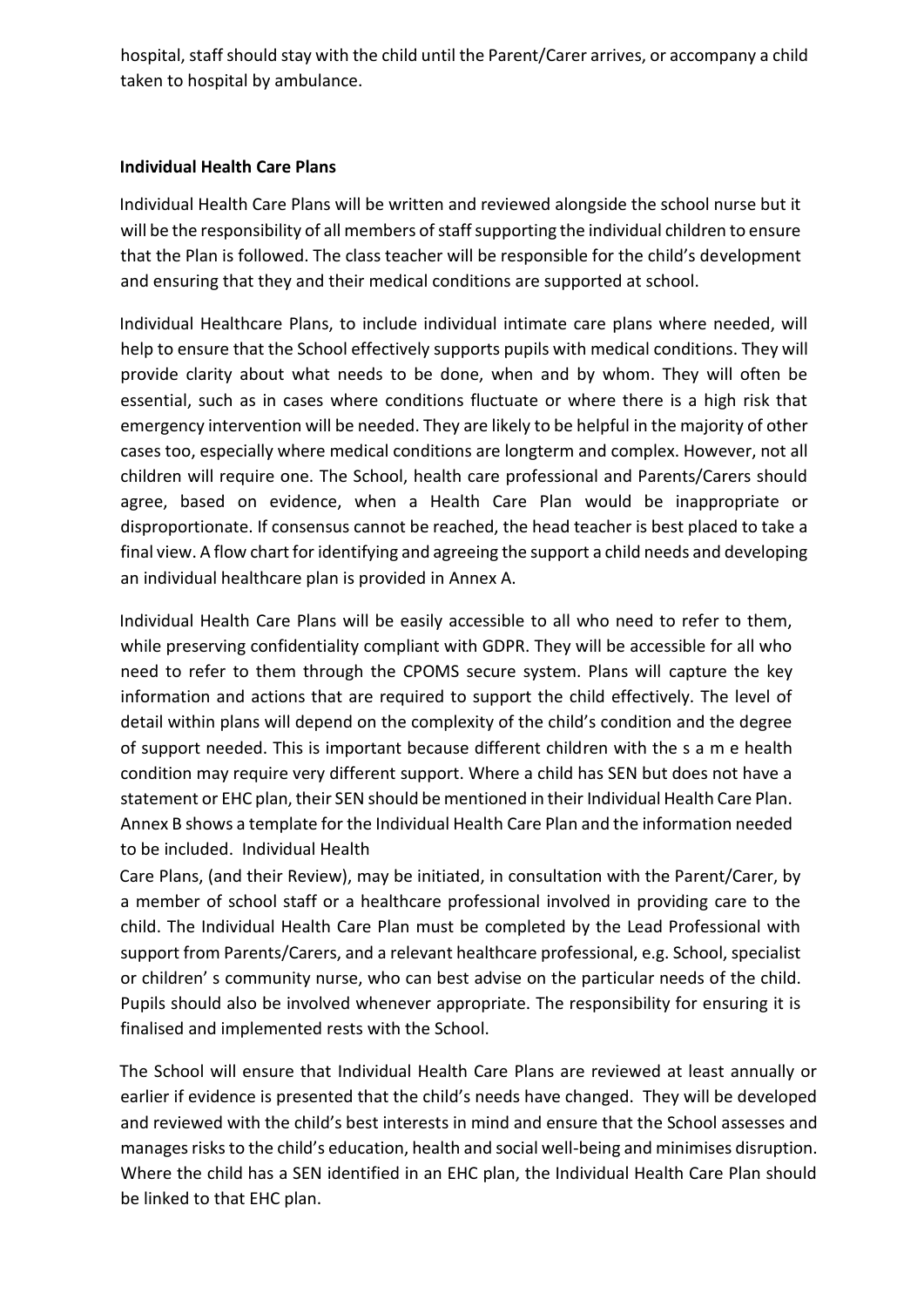hospital, staff should stay with the child until the Parent/Carer arrives, or accompany a child taken to hospital by ambulance.

### **Individual Health Care Plans**

Individual Health Care Plans will be written and reviewed alongside the school nurse but it will be the responsibility of all members of staff supporting the individual children to ensure that the Plan is followed. The class teacher will be responsible for the child's development and ensuring that they and their medical conditions are supported at school.

Individual Healthcare Plans, to include individual intimate care plans where needed, will help to ensure that the School effectively supports pupils with medical conditions. They will provide clarity about what needs to be done, when and by whom. They will often be essential, such as in cases where conditions fluctuate or where there is a high risk that emergency intervention will be needed. They are likely to be helpful in the majority of other cases too, especially where medical conditions are longterm and complex. However, not all children will require one. The School, health care professional and Parents/Carers should agree, based on evidence, when a Health Care Plan would be inappropriate or disproportionate. If consensus cannot be reached, the head teacher is best placed to take a final view. A flow chart for identifying and agreeing the support a child needs and developing an individual healthcare plan is provided in Annex A.

Individual Health Care Plans will be easily accessible to all who need to refer to them, while preserving confidentiality compliant with GDPR. They will be accessible for all who need to refer to them through the CPOMS secure system. Plans will capture the key information and actions that are required to support the child effectively. The level of detail within plans will depend on the complexity of the child's condition and the degree of support needed. This is important because different children with the s a m e health condition may require very different support. Where a child has SEN but does not have a statement or EHC plan, their SEN should be mentioned in their Individual Health Care Plan. Annex B shows a template for the Individual Health Care Plan and the information needed to be included. Individual Health

Care Plans, (and their Review), may be initiated, in consultation with the Parent/Carer, by a member of school staff or a healthcare professional involved in providing care to the child. The Individual Health Care Plan must be completed by the Lead Professional with support from Parents/Carers, and a relevant healthcare professional, e.g. School, specialist or children' s community nurse, who can best advise on the particular needs of the child. Pupils should also be involved whenever appropriate. The responsibility for ensuring it is finalised and implemented rests with the School.

The School will ensure that Individual Health Care Plans are reviewed at least annually or earlier if evidence is presented that the child's needs have changed. They will be developed and reviewed with the child's best interests in mind and ensure that the School assesses and manages risks to the child's education, health and social well-being and minimises disruption. Where the child has a SEN identified in an EHC plan, the Individual Health Care Plan should be linked to that EHC plan.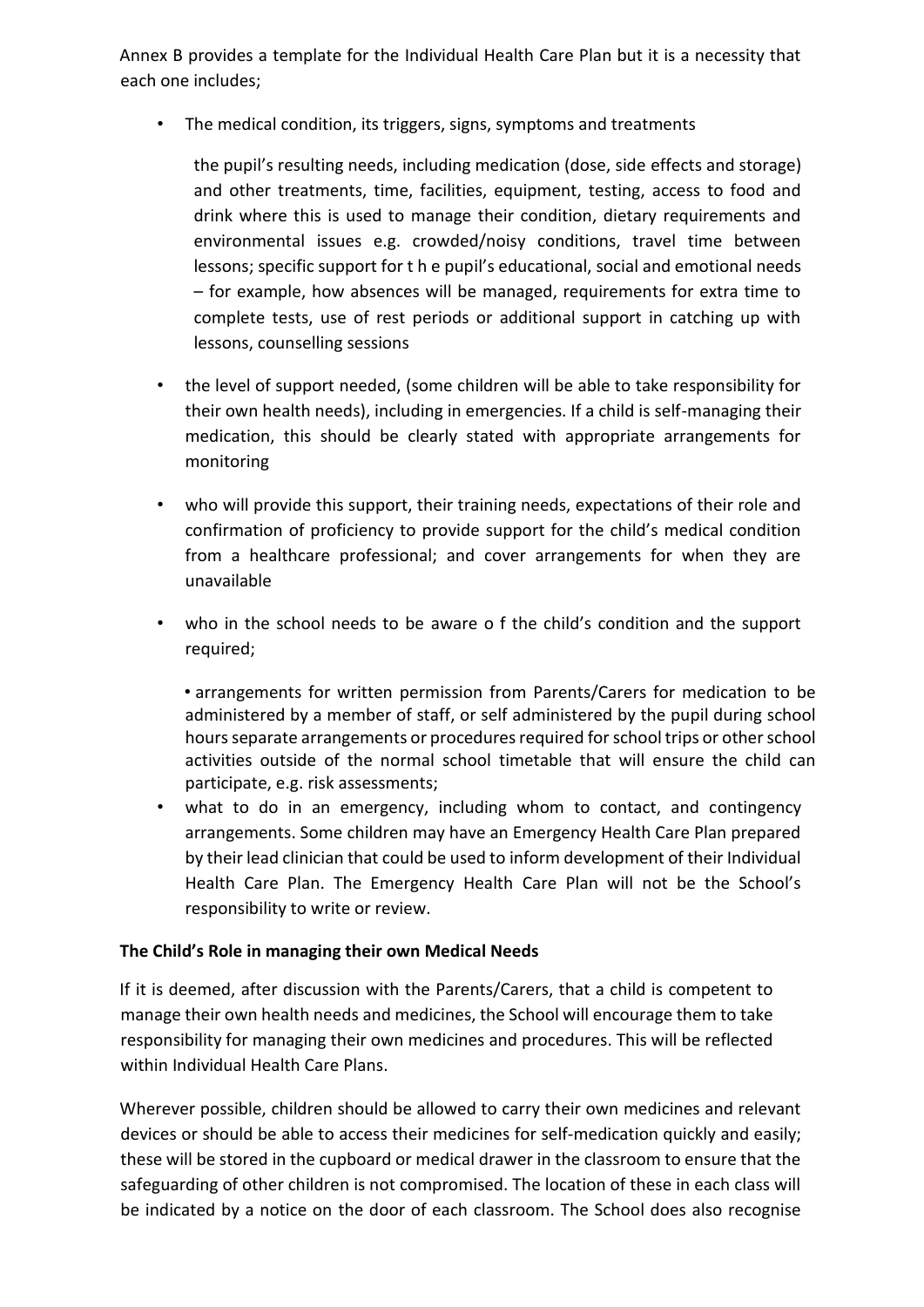Annex B provides a template for the Individual Health Care Plan but it is a necessity that each one includes;

• The medical condition, its triggers, signs, symptoms and treatments

the pupil's resulting needs, including medication (dose, side effects and storage) and other treatments, time, facilities, equipment, testing, access to food and drink where this is used to manage their condition, dietary requirements and environmental issues e.g. crowded/noisy conditions, travel time between lessons; specific support for t h e pupil's educational, social and emotional needs – for example, how absences will be managed, requirements for extra time to complete tests, use of rest periods or additional support in catching up with lessons, counselling sessions

- the level of support needed, (some children will be able to take responsibility for their own health needs), including in emergencies. If a child is self-managing their medication, this should be clearly stated with appropriate arrangements for monitoring
- who will provide this support, their training needs, expectations of their role and confirmation of proficiency to provide support for the child's medical condition from a healthcare professional; and cover arrangements for when they are unavailable
- who in the school needs to be aware o f the child's condition and the support required;

• arrangements for written permission from Parents/Carers for medication to be administered by a member of staff, or self administered by the pupil during school hours separate arrangements or procedures required for school trips or other school activities outside of the normal school timetable that will ensure the child can participate, e.g. risk assessments;

• what to do in an emergency, including whom to contact, and contingency arrangements. Some children may have an Emergency Health Care Plan prepared by their lead clinician that could be used to inform development of their Individual Health Care Plan. The Emergency Health Care Plan will not be the School's responsibility to write or review.

## **The Child's Role in managing their own Medical Needs**

If it is deemed, after discussion with the Parents/Carers, that a child is competent to manage their own health needs and medicines, the School will encourage them to take responsibility for managing their own medicines and procedures. This will be reflected within Individual Health Care Plans.

Wherever possible, children should be allowed to carry their own medicines and relevant devices or should be able to access their medicines for self-medication quickly and easily; these will be stored in the cupboard or medical drawer in the classroom to ensure that the safeguarding of other children is not compromised. The location of these in each class will be indicated by a notice on the door of each classroom. The School does also recognise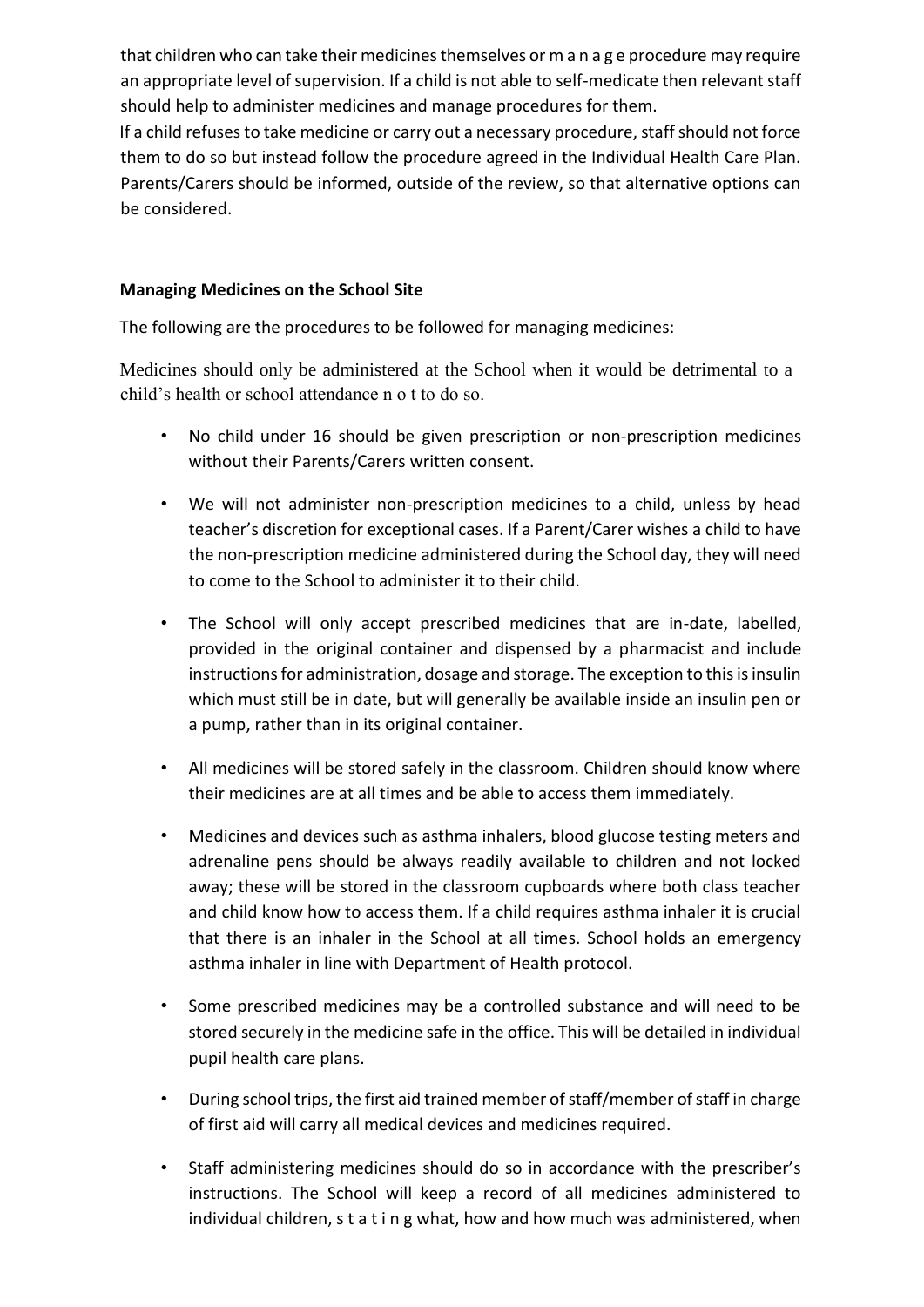that children who can take their medicines themselves or m a n a g e procedure may require an appropriate level of supervision. If a child is not able to self-medicate then relevant staff should help to administer medicines and manage procedures for them.

If a child refuses to take medicine or carry out a necessary procedure, staff should not force them to do so but instead follow the procedure agreed in the Individual Health Care Plan. Parents/Carers should be informed, outside of the review, so that alternative options can be considered.

# **Managing Medicines on the School Site**

The following are the procedures to be followed for managing medicines:

Medicines should only be administered at the School when it would be detrimental to a child's health or school attendance n o t to do so.

- No child under 16 should be given prescription or non-prescription medicines without their Parents/Carers written consent.
- We will not administer non-prescription medicines to a child, unless by head teacher's discretion for exceptional cases. If a Parent/Carer wishes a child to have the non-prescription medicine administered during the School day, they will need to come to the School to administer it to their child.
- The School will only accept prescribed medicines that are in-date, labelled, provided in the original container and dispensed by a pharmacist and include instructions for administration, dosage and storage. The exception to this is insulin which must still be in date, but will generally be available inside an insulin pen or a pump, rather than in its original container.
- All medicines will be stored safely in the classroom. Children should know where their medicines are at all times and be able to access them immediately.
- Medicines and devices such as asthma inhalers, blood glucose testing meters and adrenaline pens should be always readily available to children and not locked away; these will be stored in the classroom cupboards where both class teacher and child know how to access them. If a child requires asthma inhaler it is crucial that there is an inhaler in the School at all times. School holds an emergency asthma inhaler in line with Department of Health protocol.
- Some prescribed medicines may be a controlled substance and will need to be stored securely in the medicine safe in the office. This will be detailed in individual pupil health care plans.
- During school trips, the first aid trained member of staff/member of staff in charge of first aid will carry all medical devices and medicines required.
- Staff administering medicines should do so in accordance with the prescriber's instructions. The School will keep a record of all medicines administered to individual children, s t a t i n g what, how and how much was administered, when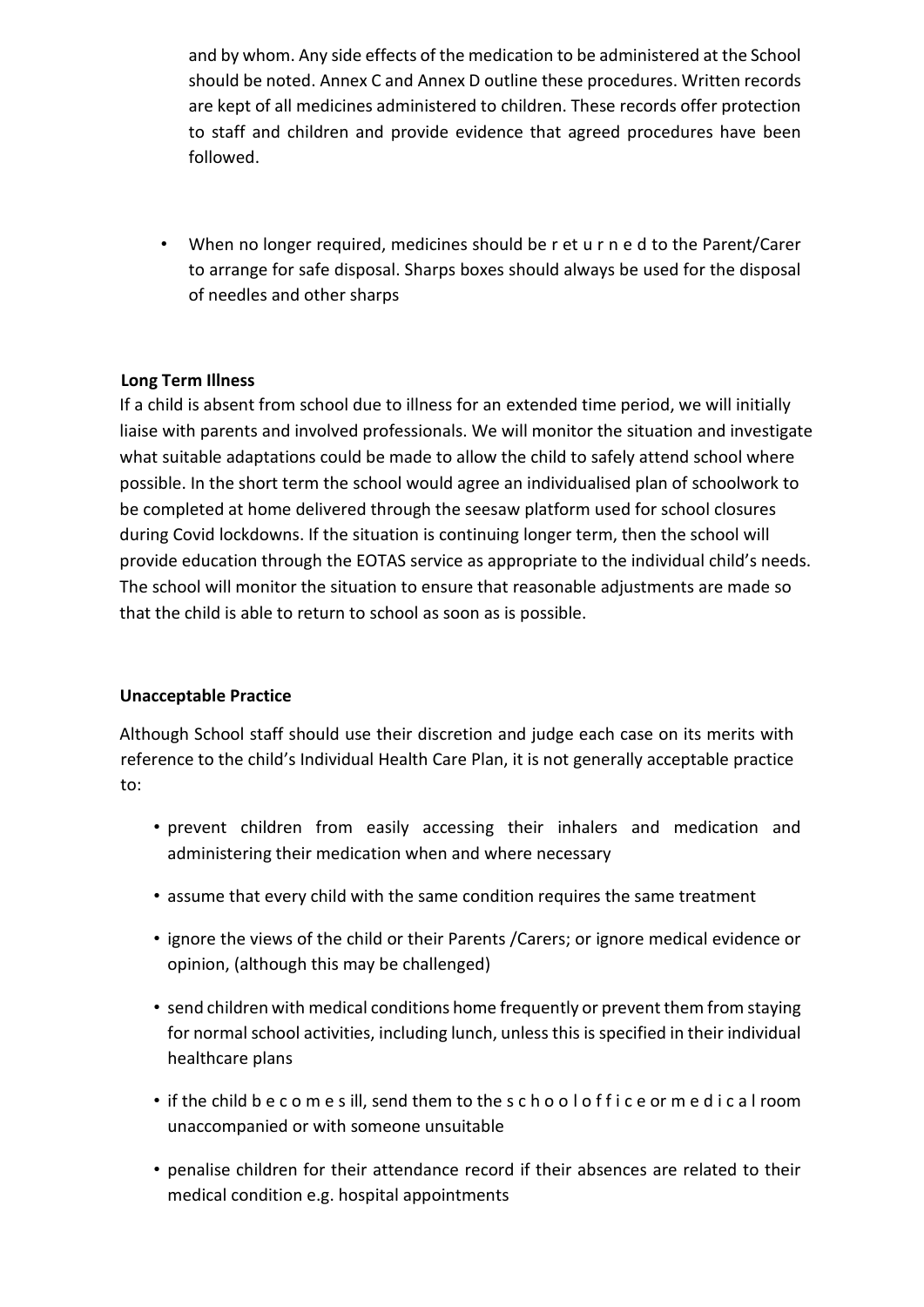and by whom. Any side effects of the medication to be administered at the School should be noted. Annex C and Annex D outline these procedures. Written records are kept of all medicines administered to children. These records offer protection to staff and children and provide evidence that agreed procedures have been followed.

• When no longer required, medicines should be r et u r n e d to the Parent/Carer to arrange for safe disposal. Sharps boxes should always be used for the disposal of needles and other sharps

## **Long Term Illness**

If a child is absent from school due to illness for an extended time period, we will initially liaise with parents and involved professionals. We will monitor the situation and investigate what suitable adaptations could be made to allow the child to safely attend school where possible. In the short term the school would agree an individualised plan of schoolwork to be completed at home delivered through the seesaw platform used for school closures during Covid lockdowns. If the situation is continuing longer term, then the school will provide education through the EOTAS service as appropriate to the individual child's needs. The school will monitor the situation to ensure that reasonable adjustments are made so that the child is able to return to school as soon as is possible.

#### **Unacceptable Practice**

Although School staff should use their discretion and judge each case on its merits with reference to the child's Individual Health Care Plan, it is not generally acceptable practice to:

- prevent children from easily accessing their inhalers and medication and administering their medication when and where necessary
- assume that every child with the same condition requires the same treatment
- ignore the views of the child or their Parents /Carers; or ignore medical evidence or opinion, (although this may be challenged)
- send children with medical conditions home frequently or prevent them from staying for normal school activities, including lunch, unless this is specified in their individual healthcare plans
- if the child b e c o m e s ill, send them to the s c h o o l o f f i c e or m e d i c a l room unaccompanied or with someone unsuitable
- penalise children for their attendance record if their absences are related to their medical condition e.g. hospital appointments